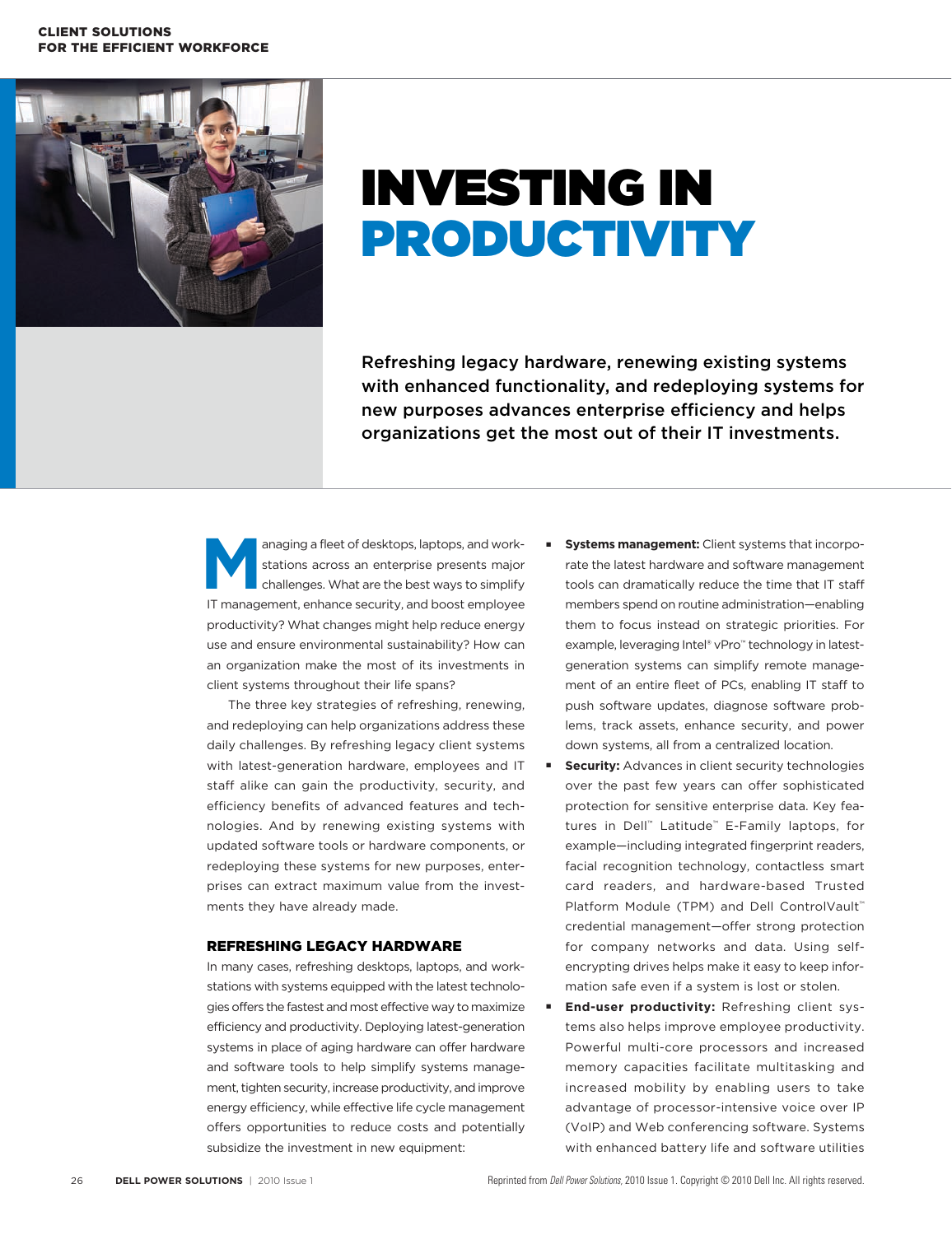#### Client Solutions for the Efficient Workforce



# Investing in **PRODUCTIVITY**

Refreshing legacy hardware, renewing existing systems with enhanced functionality, and redeploying systems for new purposes advances enterprise efficiency and helps organizations get the most out of their IT investments.

anaging a fleet of desktops, laptops, and work-<br>stations across an enterprise presents major<br>challenges. What are the best ways to simplify<br>IT management ophanea socurity, and boost employee stations across an enterprise presents major challenges. What are the best ways to simplify IT management, enhance security, and boost employee productivity? What changes might help reduce energy use and ensure environmental sustainability? How can an organization make the most of its investments in client systems throughout their life spans?

The three key strategies of refreshing, renewing, and redeploying can help organizations address these daily challenges. By refreshing legacy client systems with latest-generation hardware, employees and IT staff alike can gain the productivity, security, and efficiency benefits of advanced features and technologies. And by renewing existing systems with updated software tools or hardware components, or redeploying these systems for new purposes, enterprises can extract maximum value from the investments they have already made.

#### Refreshing legacy hardware

In many cases, refreshing desktops, laptops, and workstations with systems equipped with the latest technologies offers the fastest and most effective way to maximize efficiency and productivity. Deploying latest-generation systems in place of aging hardware can offer hardware and software tools to help simplify systems management, tighten security, increase productivity, and improve energy efficiency, while effective life cycle management offers opportunities to reduce costs and potentially subsidize the investment in new equipment:

- **Systems management:** Client systems that incorporate the latest hardware and software management tools can dramatically reduce the time that IT staff members spend on routine administration—enabling them to focus instead on strategic priorities. For example, leveraging Intel® vPro™ technology in latestgeneration systems can simplify remote management of an entire fleet of PCs, enabling IT staff to push software updates, diagnose software problems, track assets, enhance security, and power down systems, all from a centralized location.
- **Security:** Advances in client security technologies over the past few years can offer sophisticated protection for sensitive enterprise data. Key features in Dell™ Latitude™ E-Family laptops, for example—including integrated fingerprint readers, facial recognition technology, contactless smart card readers, and hardware-based Trusted Platform Module (TPM) and Dell ControlVault™ credential management—offer strong protection for company networks and data. Using selfencrypting drives helps make it easy to keep information safe even if a system is lost or stolen.
- **End-user productivity: Refreshing client sys**tems also helps improve employee productivity. Powerful multi-core processors and increased memory capacities facilitate multitasking and increased mobility by enabling users to take advantage of processor-intensive voice over IP (VoIP) and Web conferencing software. Systems with enhanced battery life and software utilities